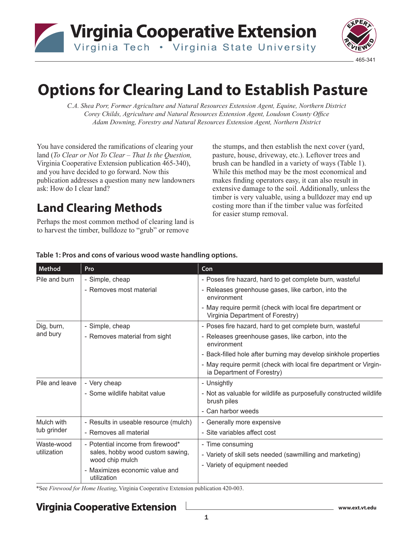**Virginia Cooperative Extension** 

Virginia Tech . Virginia State University



# **Options for Clearing Land to Establish Pasture**

*C.A. Shea Porr, Former Agriculture and Natural Resources Extension Agent, Equine, Northern District Corey Childs, Agriculture and Natural Resources Extension Agent, Loudoun County Office Adam Downing, Forestry and Natural Resources Extension Agent, Northern District* 

You have considered the ramifications of clearing your land (*To Clear or Not To Clear – That Is the Question,* Virginia Cooperative Extension publication 465-340), and you have decided to go forward. Now this publication addresses a question many new landowners ask: How do I clear land?

# **Land Clearing Methods**

Perhaps the most common method of clearing land is to harvest the timber, bulldoze to "grub" or remove

the stumps, and then establish the next cover (yard, pasture, house, driveway, etc.). Leftover trees and brush can be handled in a variety of ways (Table 1). While this method may be the most economical and makes finding operators easy, it can also result in extensive damage to the soil. Additionally, unless the timber is very valuable, using a bulldozer may end up costing more than if the timber value was forfeited for easier stump removal.

| Method                    | Pro                                                                                      | Con                                                                                             |
|---------------------------|------------------------------------------------------------------------------------------|-------------------------------------------------------------------------------------------------|
| Pile and burn             | - Simple, cheap                                                                          | - Poses fire hazard, hard to get complete burn, wasteful                                        |
|                           | - Removes most material                                                                  | - Releases greenhouse gases, like carbon, into the<br>environment                               |
|                           |                                                                                          | - May require permit (check with local fire department or<br>Virginia Department of Forestry)   |
| Dig, burn,<br>and bury    | - Simple, cheap                                                                          | - Poses fire hazard, hard to get complete burn, wasteful                                        |
|                           | - Removes material from sight                                                            | - Releases greenhouse gases, like carbon, into the<br>environment                               |
|                           |                                                                                          | - Back-filled hole after burning may develop sinkhole properties                                |
|                           |                                                                                          | - May require permit (check with local fire department or Virgin-<br>ia Department of Forestry) |
| Pile and leave            | - Very cheap                                                                             | - Unsightly                                                                                     |
|                           | - Some wildlife habitat value                                                            | - Not as valuable for wildlife as purposefully constructed wildlife<br>brush piles              |
|                           |                                                                                          | - Can harbor weeds                                                                              |
| Mulch with<br>tub grinder | - Results in useable resource (mulch)                                                    | - Generally more expensive                                                                      |
|                           | - Removes all material                                                                   | - Site variables affect cost                                                                    |
| Waste-wood<br>utilization | - Potential income from firewood*<br>sales, hobby wood custom sawing,<br>wood chip mulch | - Time consuming                                                                                |
|                           |                                                                                          | - Variety of skill sets needed (sawmilling and marketing)                                       |
|                           |                                                                                          | - Variety of equipment needed                                                                   |
|                           | - Maximizes economic value and<br>utilization                                            |                                                                                                 |

#### **Table 1: Pros and cons of various wood waste handling options.**

\*See *Firewood for Home Heating*, Virginia Cooperative Extension publication 420-003.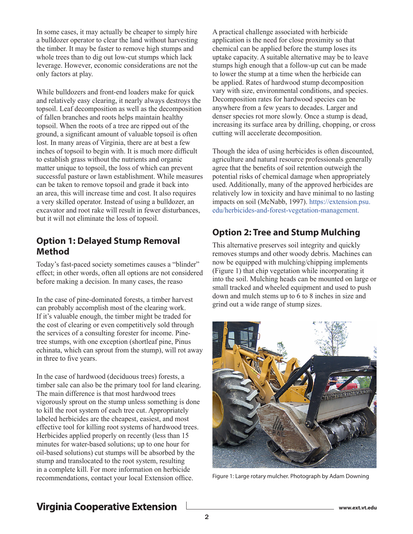In some cases, it may actually be cheaper to simply hire a bulldozer operator to clear the land without harvesting the timber. It may be faster to remove high stumps and whole trees than to dig out low-cut stumps which lack leverage. However, economic considerations are not the only factors at play.

While bulldozers and front-end loaders make for quick and relatively easy clearing, it nearly always destroys the topsoil. Leaf decomposition as well as the decomposition of fallen branches and roots helps maintain healthy topsoil. When the roots of a tree are ripped out of the ground, a significant amount of valuable topsoil is often lost. In many areas of Virginia, there are at best a few inches of topsoil to begin with. It is much more difficult to establish grass without the nutrients and organic matter unique to topsoil, the loss of which can prevent successful pasture or lawn establishment. While measures can be taken to remove topsoil and grade it back into an area, this will increase time and cost. It also requires a very skilled operator. Instead of using a bulldozer, an excavator and root rake will result in fewer disturbances, but it will not eliminate the loss of topsoil.

#### **Option 1: Delayed Stump Removal Method**

Today's fast-paced society sometimes causes a "blinder" effect; in other words, often all options are not considered before making a decision. In many cases, the reaso

In the case of pine-dominated forests, a timber harvest can probably accomplish most of the clearing work. If it's valuable enough, the timber might be traded for the cost of clearing or even competitively sold through the services of a consulting forester for income. Pinetree stumps, with one exception (shortleaf pine, Pinus echinata, which can sprout from the stump), will rot away in three to five years.

In the case of hardwood (deciduous trees) forests, a timber sale can also be the primary tool for land clearing. The main difference is that most hardwood trees vigorously sprout on the stump unless something is done to kill the root system of each tree cut. Appropriately labeled herbicides are the cheapest, easiest, and most effective tool for killing root systems of hardwood trees. Herbicides applied properly on recently (less than 15 minutes for water-based solutions; up to one hour for oil-based solutions) cut stumps will be absorbed by the stump and translocated to the root system, resulting in a complete kill. For more information on herbicide recommendations, contact your local Extension office.

A practical challenge associated with herbicide application is the need for close proximity so that chemical can be applied before the stump loses its uptake capacity. A suitable alternative may be to leave stumps high enough that a follow-up cut can be made to lower the stump at a time when the herbicide can be applied. Rates of hardwood stump decomposition vary with size, environmental conditions, and species. Decomposition rates for hardwood species can be anywhere from a few years to decades. Larger and denser species rot more slowly. Once a stump is dead, increasing its surface area by drilling, chopping, or cross cutting will accelerate decomposition.

Though the idea of using herbicides is often discounted, agriculture and natural resource professionals generally agree that the benefits of soil retention outweigh the potential risks of chemical damage when appropriately used. Additionally, many of the approved herbicides are relatively low in toxicity and have minimal to no lasting impacts on soil (McNabb, 1997). [https://extension.psu.](https://extension.psu.edu/herbicides-and-forest-vegetation-management) [edu/herbicides-and-forest-vegetation-management](https://extension.psu.edu/herbicides-and-forest-vegetation-management)[.](http://pubs.cas.psu.edu/freepubs/pdfs/UH174.pdf. ) 

### **Option 2: Tree and Stump Mulching**

This alternative preserves soil integrity and quickly removes stumps and other woody debris. Machines can now be equipped with mulching/chipping implements (Figure 1) that chip vegetation while incorporating it into the soil. Mulching heads can be mounted on large or small tracked and wheeled equipment and used to push down and mulch stems up to 6 to 8 inches in size and grind out a wide range of stump sizes.



Figure 1: Large rotary mulcher. Photograph by Adam Downing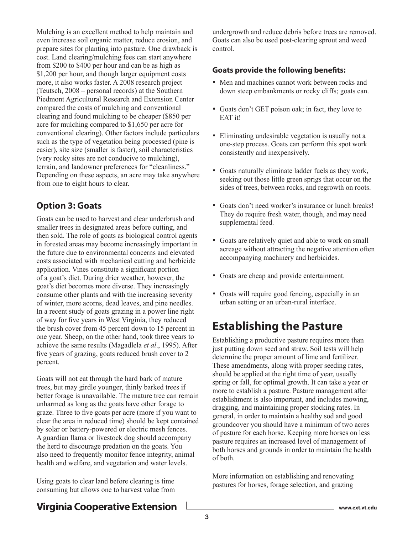Mulching is an excellent method to help maintain and even increase soil organic matter, reduce erosion, and prepare sites for planting into pasture. One drawback is cost. Land clearing/mulching fees can start anywhere from \$200 to \$400 per hour and can be as high as \$1,200 per hour, and though larger equipment costs more, it also works faster. A 2008 research project (Teutsch, 2008 – personal records) at the Southern Piedmont Agricultural Research and Extension Center compared the costs of mulching and conventional clearing and found mulching to be cheaper (\$850 per acre for mulching compared to \$1,650 per acre for conventional clearing). Other factors include particulars such as the type of vegetation being processed (pine is easier), site size (smaller is faster), soil characteristics (very rocky sites are not conducive to mulching), terrain, and landowner preferences for "cleanliness." Depending on these aspects, an acre may take anywhere from one to eight hours to clear.

#### **Option 3: Goats**

Goats can be used to harvest and clear underbrush and smaller trees in designated areas before cutting, and then sold. The role of goats as biological control agents in forested areas may become increasingly important in the future due to environmental concerns and elevated costs associated with mechanical cutting and herbicide application. Vines constitute a significant portion of a goat's diet. During drier weather, however, the goat's diet becomes more diverse. They increasingly consume other plants and with the increasing severity of winter, more acorns, dead leaves, and pine needles. In a recent study of goats grazing in a power line right of way for five years in West Virginia, they reduced the brush cover from 45 percent down to 15 percent in one year. Sheep, on the other hand, took three years to achieve the same results (Magadlela *et al*., 1995). After five years of grazing, goats reduced brush cover to 2 percent.

Goats will not eat through the hard bark of mature trees, but may girdle younger, thinly barked trees if better forage is unavailable. The mature tree can remain unharmed as long as the goats have other forage to graze. Three to five goats per acre (more if you want to clear the area in reduced time) should be kept contained by solar or battery-powered or electric mesh fences. A guardian llama or livestock dog should accompany the herd to discourage predation on the goats. You also need to frequently monitor fence integrity, animal health and welfare, and vegetation and water levels.

Using goats to clear land before clearing is time consuming but allows one to harvest value from undergrowth and reduce debris before trees are removed. Goats can also be used post-clearing sprout and weed control.

#### **Goats provide the following benefits:**

- Men and machines cannot work between rocks and down steep embankments or rocky cliffs; goats can.
- Goats don't GET poison oak; in fact, they love to EAT it!
- Eliminating undesirable vegetation is usually not a one-step process. Goats can perform this spot work consistently and inexpensively.
- Goats naturally eliminate ladder fuels as they work, seeking out those little green sprigs that occur on the sides of trees, between rocks, and regrowth on roots.
- Goats don't need worker's insurance or lunch breaks! They do require fresh water, though, and may need supplemental feed.
- Goats are relatively quiet and able to work on small acreage without attracting the negative attention often accompanying machinery and herbicides.
- Goats are cheap and provide entertainment.
- Goats will require good fencing, especially in an urban setting or an urban-rural interface.

# **Establishing the Pasture**

Establishing a productive pasture requires more than just putting down seed and straw. Soil tests will help determine the proper amount of lime and fertilizer. These amendments, along with proper seeding rates, should be applied at the right time of year, usually spring or fall, for optimal growth. It can take a year or more to establish a pasture. Pasture management after establishment is also important, and includes mowing, dragging, and maintaining proper stocking rates. In general, in order to maintain a healthy sod and good groundcover you should have a minimum of two acres of pasture for each horse. Keeping more horses on less pasture requires an increased level of management of both horses and grounds in order to maintain the health of both.

More information on establishing and renovating pastures for horses, forage selection, and grazing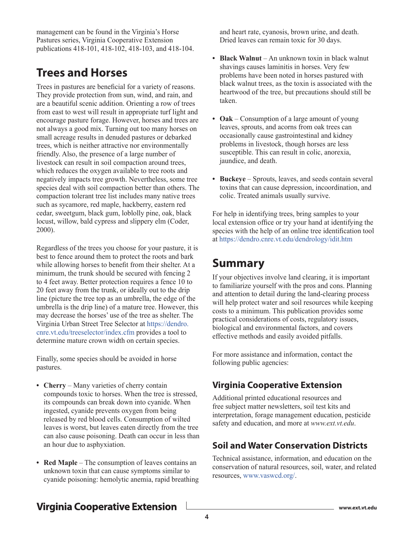management can be found in the Virginia's Horse Pastures series, Virginia Cooperative Extension publications 418-101, 418-102, 418-103, and 418-104.

## **Trees and Horses**

Trees in pastures are beneficial for a variety of reasons. They provide protection from sun, wind, and rain, and are a beautiful scenic addition. Orienting a row of trees from east to west will result in appropriate turf light and encourage pasture forage. However, horses and trees are not always a good mix. Turning out too many horses on small acreage results in denuded pastures or debarked trees, which is neither attractive nor environmentally friendly. Also, the presence of a large number of livestock can result in soil compaction around trees, which reduces the oxygen available to tree roots and negatively impacts tree growth. Nevertheless, some tree species deal with soil compaction better than others. The compaction tolerant tree list includes many native trees such as sycamore, red maple, hackberry, eastern red cedar, sweetgum, black gum, loblolly pine, oak, black locust, willow, bald cypress and slippery elm (Coder, 2000).

Regardless of the trees you choose for your pasture, it is best to fence around them to protect the roots and bark while allowing horses to benefit from their shelter. At a minimum, the trunk should be secured with fencing 2 to 4 feet away. Better protection requires a fence 10 to 20 feet away from the trunk, or ideally out to the drip line (picture the tree top as an umbrella, the edge of the umbrella is the drip line) of a mature tree. However, this may decrease the horses' use of the tree as shelter. The Virginia Urban Street Tree Selector a[t https://dendro.]( https://dendro.cnre.vt.edu/treeselector/index.cfm) [cnre.vt.edu/treeselector/index.cfm]( https://dendro.cnre.vt.edu/treeselector/index.cfm) provides a tool to determine mature crown width on certain species.

Finally, some species should be avoided in horse pastures.

- **Cherry** Many varieties of cherry contain compounds toxic to horses. When the tree is stressed, its compounds can break down into cyanide. When ingested, cyanide prevents oxygen from being released by red blood cells. Consumption of wilted leaves is worst, but leaves eaten directly from the tree can also cause poisoning. Death can occur in less than an hour due to asphyxiation.
- **• Red Maple** The consumption of leaves contains an unknown toxin that can cause symptoms similar to cyanide poisoning: hemolytic anemia, rapid breathing

and heart rate, cyanosis, brown urine, and death. Dried leaves can remain toxic for 30 days.

- **• Black Walnut** An unknown toxin in black walnut shavings causes laminitis in horses. Very few problems have been noted in horses pastured with black walnut trees, as the toxin is associated with the heartwood of the tree, but precautions should still be taken.
- **• Oak** Consumption of a large amount of young leaves, sprouts, and acorns from oak trees can occasionally cause gastrointestinal and kidney problems in livestock, though horses are less susceptible. This can result in colic, anorexia, jaundice, and death.
- **Buckeye** Sprouts, leaves, and seeds contain several toxins that can cause depression, incoordination, and colic. Treated animals usually survive.

For help in identifying trees, bring samples to your local extension office or try your hand at identifying the species with the help of an online tree identification tool at <https://dendro.cnre.vt.edu/dendrology/idit.htm>

# **Summary**

If your objectives involve land clearing, it is important to familiarize yourself with the pros and cons. Planning and attention to detail during the land-clearing process will help protect water and soil resources while keeping costs to a minimum. This publication provides some practical considerations of costs, regulatory issues, biological and environmental factors, and covers effective methods and easily avoided pitfalls.

For more assistance and information, contact the following public agencies:

#### **Virginia Cooperative Extension**

Additional printed educational resources and free subject matter newsletters, soil test kits and interpretation, forage management education, pesticide safety and education, and more at *www.ext.vt.edu*.

#### **Soil and Water Conservation Districts**

Technical assistance, information, and education on the conservation of natural resources, soil, water, and related resources, [www.vaswcd.org/](http://www.vaswcd.org/).